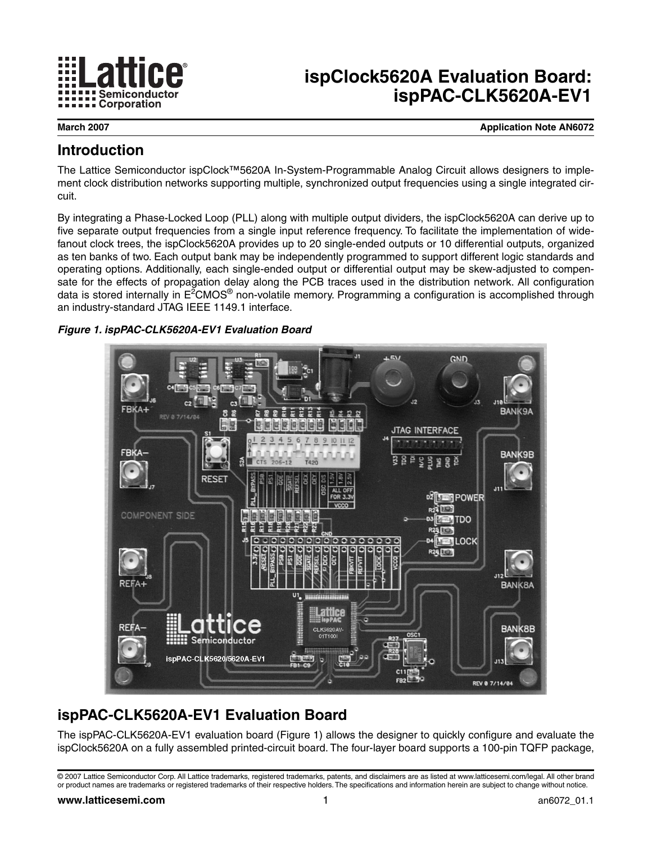

# **ispClock5620A Evaluation Board: ispPAC-CLK5620A-EV1**

**March 2007 Application Note AN6072**

## **Introduction**

The Lattice Semiconductor ispClock™5620A In-System-Programmable Analog Circuit allows designers to implement clock distribution networks supporting multiple, synchronized output frequencies using a single integrated circuit.

By integrating a Phase-Locked Loop (PLL) along with multiple output dividers, the ispClock5620A can derive up to five separate output frequencies from a single input reference frequency. To facilitate the implementation of widefanout clock trees, the ispClock5620A provides up to 20 single-ended outputs or 10 differential outputs, organized as ten banks of two. Each output bank may be independently programmed to support different logic standards and operating options. Additionally, each single-ended output or differential output may be skew-adjusted to compensate for the effects of propagation delay along the PCB traces used in the distribution network. All configuration data is stored internally in E<sup>2</sup>CMOS® non-volatile memory. Programming a configuration is accomplished through an industry-standard JTAG IEEE 1149.1 interface.

### <span id="page-0-0"></span>*Figure 1. ispPAC-CLK5620A-EV1 Evaluation Board*



# **ispPAC-CLK5620A-EV1 Evaluation Board**

The ispPAC-CLK5620A-EV1 evaluation board [\(Figure 1\)](#page-0-0) allows the designer to quickly configure and evaluate the ispClock5620A on a fully assembled printed-circuit board. The four-layer board supports a 100-pin TQFP package,

<sup>© 2007</sup> Lattice Semiconductor Corp. All Lattice trademarks, registered trademarks, patents, and disclaimers are as listed at www.latticesemi.com/legal. All other brand or product names are trademarks or registered trademarks of their respective holders. The specifications and information herein are subject to change without notice.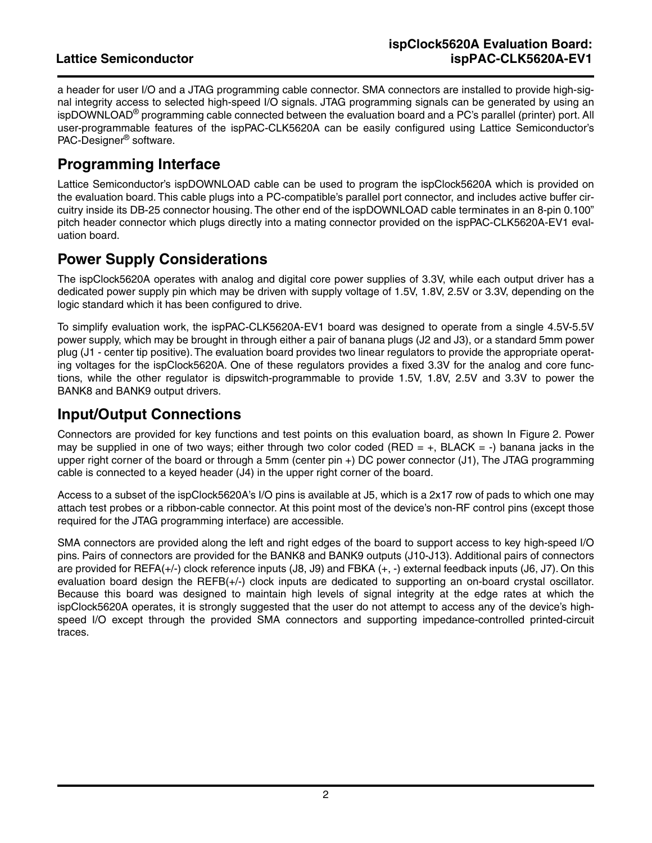a header for user I/O and a JTAG programming cable connector. SMA connectors are installed to provide high-signal integrity access to selected high-speed I/O signals. JTAG programming signals can be generated by using an ispDOWNLOAD® programming cable connected between the evaluation board and a PC's parallel (printer) port. All user-programmable features of the ispPAC-CLK5620A can be easily configured using Lattice Semiconductor's PAC-Designer® software.

## **Programming Interface**

Lattice Semiconductor's ispDOWNLOAD cable can be used to program the ispClock5620A which is provided on the evaluation board. This cable plugs into a PC-compatible's parallel port connector, and includes active buffer circuitry inside its DB-25 connector housing. The other end of the ispDOWNLOAD cable terminates in an 8-pin 0.100" pitch header connector which plugs directly into a mating connector provided on the ispPAC-CLK5620A-EV1 evaluation board.

## **Power Supply Considerations**

The ispClock5620A operates with analog and digital core power supplies of 3.3V, while each output driver has a dedicated power supply pin which may be driven with supply voltage of 1.5V, 1.8V, 2.5V or 3.3V, depending on the logic standard which it has been configured to drive.

To simplify evaluation work, the ispPAC-CLK5620A-EV1 board was designed to operate from a single 4.5V-5.5V power supply, which may be brought in through either a pair of banana plugs (J2 and J3), or a standard 5mm power plug (J1 - center tip positive). The evaluation board provides two linear regulators to provide the appropriate operating voltages for the ispClock5620A. One of these regulators provides a fixed 3.3V for the analog and core functions, while the other regulator is dipswitch-programmable to provide 1.5V, 1.8V, 2.5V and 3.3V to power the BANK8 and BANK9 output drivers.

## **Input/Output Connections**

Connectors are provided for key functions and test points on this evaluation board, as shown In [Figure 2.](#page-2-0) Power may be supplied in one of two ways; either through two color coded (RED =  $+$ , BLACK =  $-$ ) banana jacks in the upper right corner of the board or through a 5mm (center pin +) DC power connector (J1), The JTAG programming cable is connected to a keyed header (J4) in the upper right corner of the board.

Access to a subset of the ispClock5620A's I/O pins is available at J5, which is a 2x17 row of pads to which one may attach test probes or a ribbon-cable connector. At this point most of the device's non-RF control pins (except those required for the JTAG programming interface) are accessible.

SMA connectors are provided along the left and right edges of the board to support access to key high-speed I/O pins. Pairs of connectors are provided for the BANK8 and BANK9 outputs (J10-J13). Additional pairs of connectors are provided for REFA(+/-) clock reference inputs (J8, J9) and FBKA (+, -) external feedback inputs (J6, J7). On this evaluation board design the REFB(+/-) clock inputs are dedicated to supporting an on-board crystal oscillator. Because this board was designed to maintain high levels of signal integrity at the edge rates at which the ispClock5620A operates, it is strongly suggested that the user do not attempt to access any of the device's highspeed I/O except through the provided SMA connectors and supporting impedance-controlled printed-circuit traces.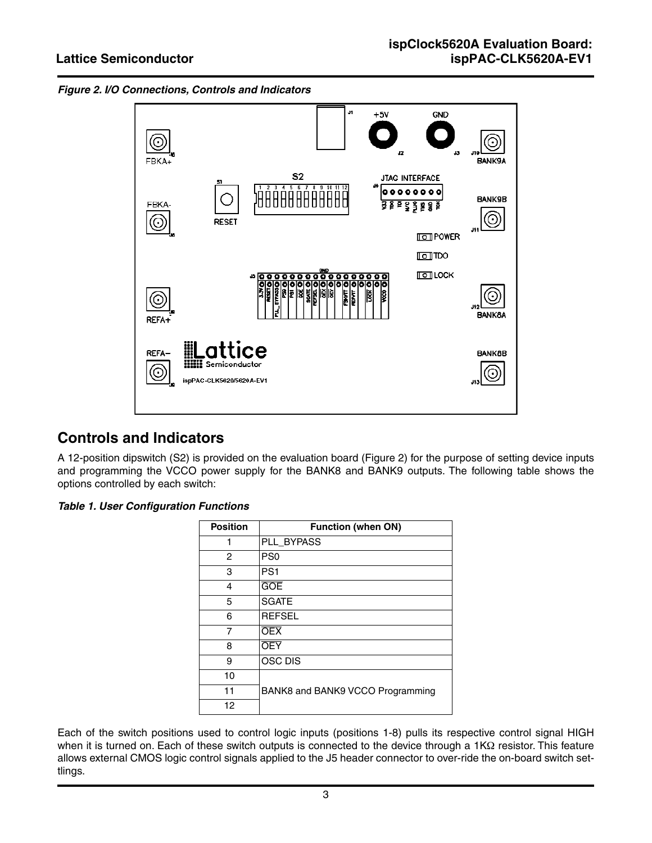<span id="page-2-0"></span>



### **Controls and Indicators**

A 12-position dipswitch (S2) is provided on the evaluation board ([Figure 2](#page-2-0)) for the purpose of setting device inputs and programming the VCCO power supply for the BANK8 and BANK9 outputs. The following table shows the options controlled by each switch:

#### *Table 1. User Configuration Functions*

| <b>Position</b> | <b>Function (when ON)</b>        |  |  |
|-----------------|----------------------------------|--|--|
| 1               | PLL_BYPASS                       |  |  |
| 2               | PS <sub>0</sub>                  |  |  |
| 3               | PS <sub>1</sub>                  |  |  |
| 4               | <b>GOE</b>                       |  |  |
| 5               | <b>SGATE</b>                     |  |  |
| 6               | <b>REFSEL</b>                    |  |  |
| 7               | <b>OEX</b>                       |  |  |
| 8               | <b>OEY</b>                       |  |  |
| 9               | <b>OSC DIS</b>                   |  |  |
| 10              |                                  |  |  |
| 11              | BANK8 and BANK9 VCCO Programming |  |  |
| 12              |                                  |  |  |

Each of the switch positions used to control logic inputs (positions 1-8) pulls its respective control signal HIGH when it is turned on. Each of these switch outputs is connected to the device through a 1KΩ resistor. This feature allows external CMOS logic control signals applied to the J5 header connector to over-ride the on-board switch settlings.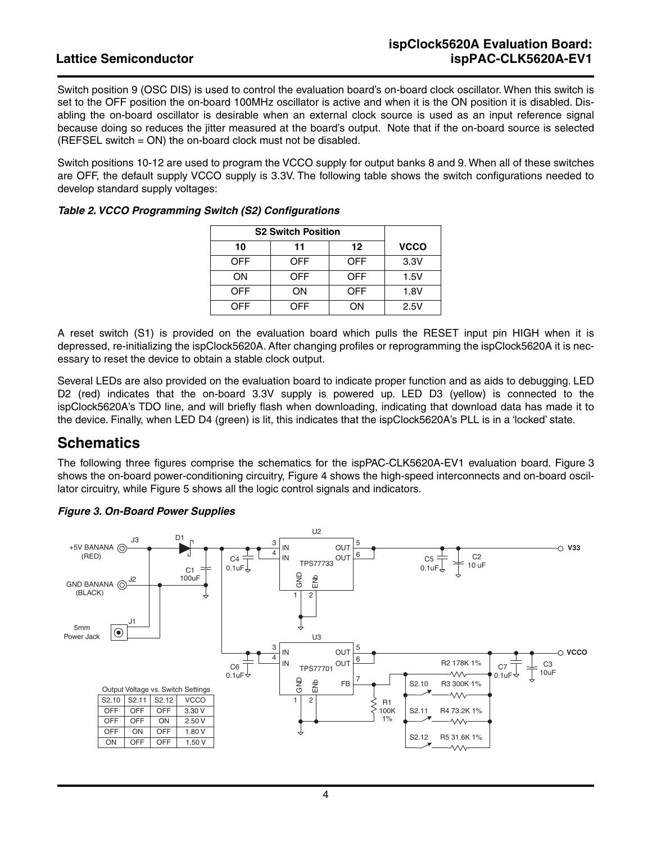Switch position 9 (OSC DIS) is used to control the evaluation board's on-board clock oscillator. When this switch is set to the OFF position the on-board 100MHz oscillator is active and when it is the ON position it is disabled. Disabling the on-board oscillator is desirable when an external clock source is used as an input reference signal because doing so reduces the jitter measured at the board's output. Note that if the on-board source is selected (REFSEL switch = ON) the on-board clock must not be disabled.

Switch positions 10-12 are used to program the VCCO supply for output banks 8 and 9. When all of these switches are OFF, the default supply VCCO supply is 3.3V. The following table shows the switch configurations needed to develop standard supply voltages:

| <b>S2 Switch Position</b> |            |            |             |
|---------------------------|------------|------------|-------------|
| 10                        | 11         | 12         | <b>VCCO</b> |
| <b>OFF</b>                | <b>OFF</b> | <b>OFF</b> | 3.3V        |
| ON                        | <b>OFF</b> | <b>OFF</b> | 1.5V        |
| <b>OFF</b>                | ΟN         | OFF        | 1.8V        |
| OFF                       | OFF        | OΝ         | 2.5V        |

#### *Table 2. VCCO Programming Switch (S2) Configurations*

A reset switch (S1) is provided on the evaluation board which pulls the RESET input pin HIGH when it is depressed, re-initializing the ispClock5620A. After changing profiles or reprogramming the ispClock5620A it is necessary to reset the device to obtain a stable clock output.

Several LEDs are also provided on the evaluation board to indicate proper function and as aids to debugging. LED D2 (red) indicates that the on-board 3.3V supply is powered up. LED D3 (yellow) is connected to the ispClock5620A's TDO line, and will briefly flash when downloading, indicating that download data has made it to the device. Finally, when LED D4 (green) is lit, this indicates that the ispClock5620A's PLL is in a 'locked' state.

### **Schematics**

The following three figures comprise the schematics for the ispPAC-CLK5620A-EV1 evaluation board. [Figure 3](#page-3-0) shows the on-board power-conditioning circuitry, [Figure 4](#page-4-0) shows the high-speed interconnects and on-board oscillator circuitry, while [Figure 5](#page-4-1) shows all the logic control signals and indicators.



#### <span id="page-3-0"></span>*Figure 3. On-Board Power Supplies*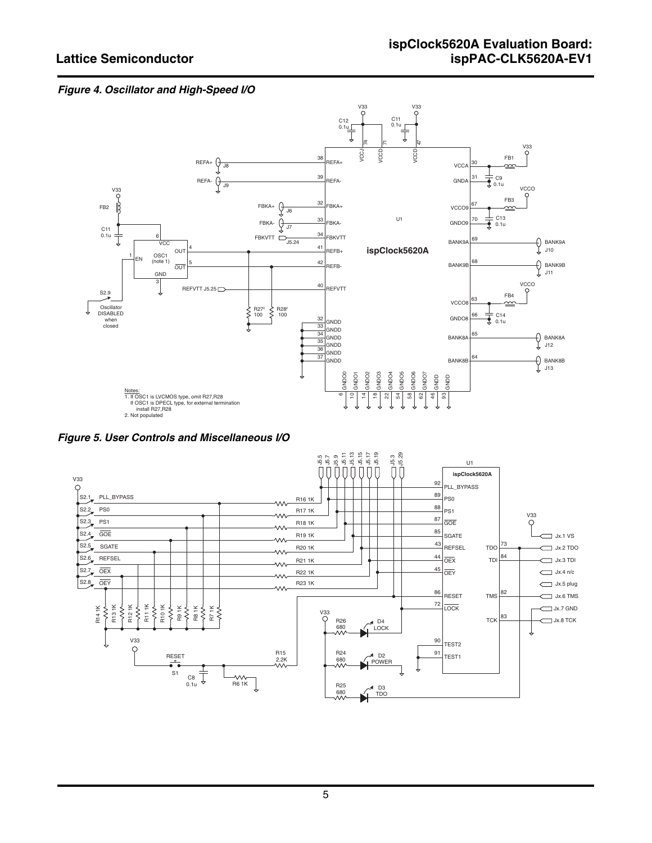#### <span id="page-4-0"></span>*Figure 4. Oscillator and High-Speed I/O*



<span id="page-4-1"></span>*Figure 5. User Controls and Miscellaneous I/O*

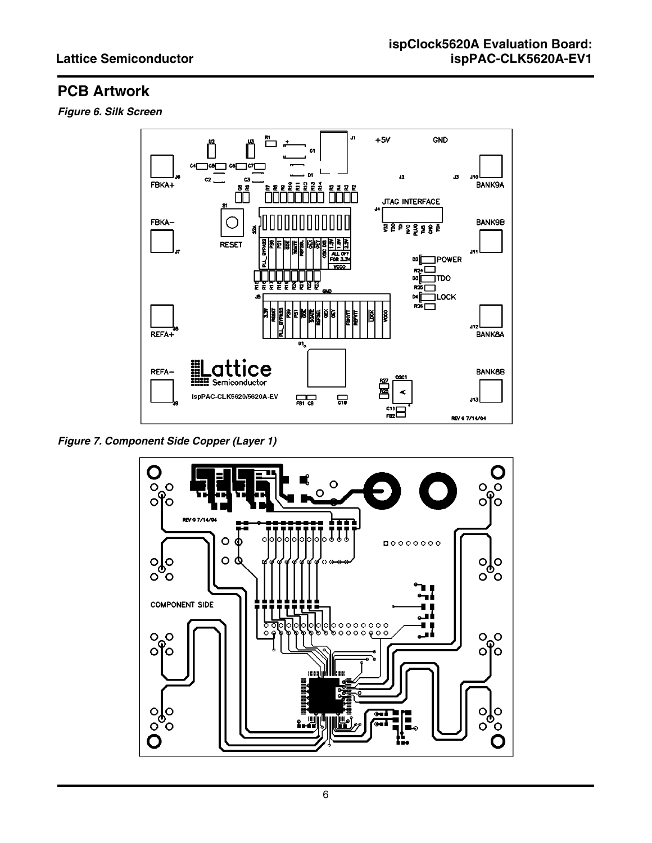# **PCB Artwork**

*Figure 6. Silk Screen*



*Figure 7. Component Side Copper (Layer 1)*

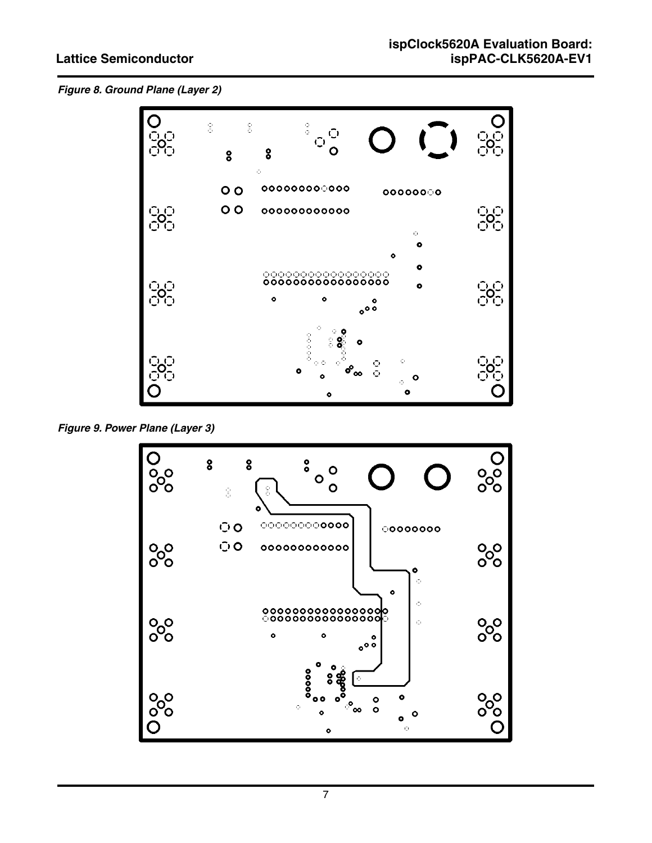*Figure 8. Ground Plane (Layer 2)*



*Figure 9. Power Plane (Layer 3)*

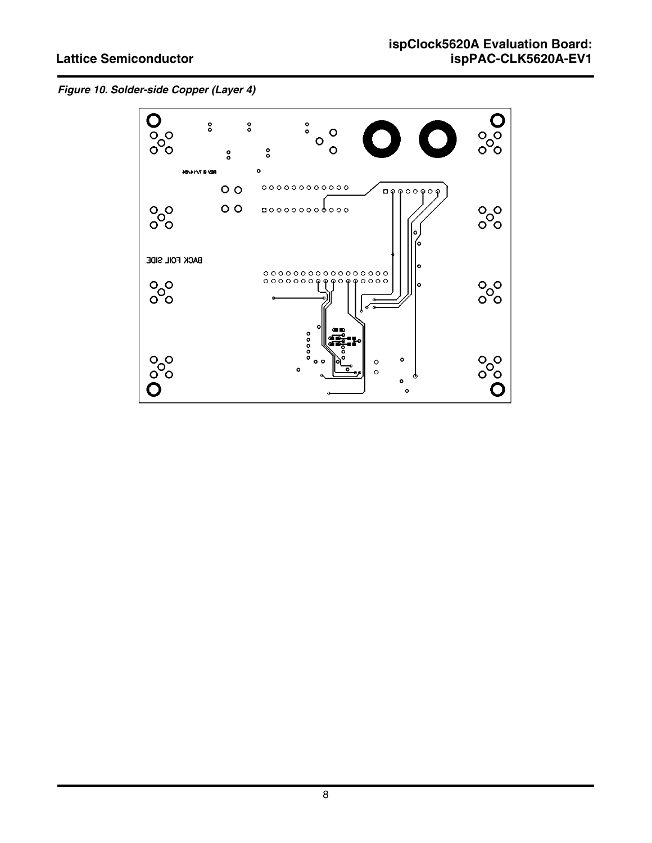*Figure 10. Solder-side Copper (Layer 4)*

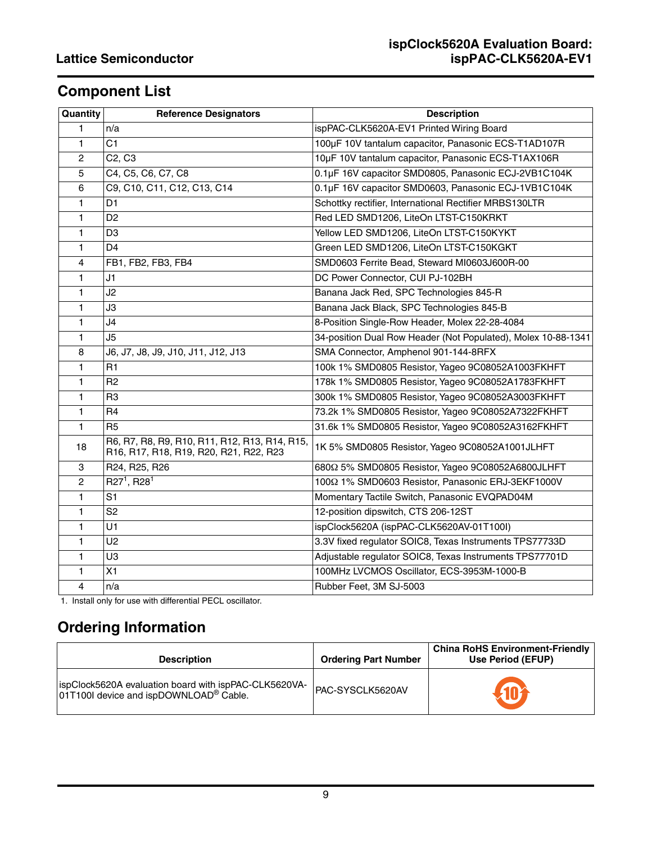# **Component List**

| Quantity       | <b>Reference Designators</b>                                                            | <b>Description</b>                                            |
|----------------|-----------------------------------------------------------------------------------------|---------------------------------------------------------------|
| 1              | n/a                                                                                     | ispPAC-CLK5620A-EV1 Printed Wiring Board                      |
| 1              | C1                                                                                      | 100µF 10V tantalum capacitor, Panasonic ECS-T1AD107R          |
| 2              | C <sub>2</sub> , C <sub>3</sub>                                                         | 10µF 10V tantalum capacitor, Panasonic ECS-T1AX106R           |
| 5              | C4, C5, C6, C7, C8                                                                      | 0.1µF 16V capacitor SMD0805, Panasonic ECJ-2VB1C104K          |
| 6              | C9, C10, C11, C12, C13, C14                                                             | 0.1µF 16V capacitor SMD0603, Panasonic ECJ-1VB1C104K          |
| 1              | D <sub>1</sub>                                                                          | Schottky rectifier, International Rectifier MRBS130LTR        |
| 1              | D <sub>2</sub>                                                                          | Red LED SMD1206, LiteOn LTST-C150KRKT                         |
| 1              | D3                                                                                      | Yellow LED SMD1206, LiteOn LTST-C150KYKT                      |
| 1              | D <sub>4</sub>                                                                          | Green LED SMD1206, LiteOn LTST-C150KGKT                       |
| 4              | FB1, FB2, FB3, FB4                                                                      | SMD0603 Ferrite Bead, Steward MI0603J600R-00                  |
| 1              | J1                                                                                      | DC Power Connector, CUI PJ-102BH                              |
| 1              | J2                                                                                      | Banana Jack Red, SPC Technologies 845-R                       |
| 1              | JЗ                                                                                      | Banana Jack Black, SPC Technologies 845-B                     |
| 1              | J4                                                                                      | 8-Position Single-Row Header, Molex 22-28-4084                |
| 1              | J5                                                                                      | 34-position Dual Row Header (Not Populated), Molex 10-88-1341 |
| 8              | J6, J7, J8, J9, J10, J11, J12, J13                                                      | SMA Connector, Amphenol 901-144-8RFX                          |
| 1              | R1                                                                                      | 100k 1% SMD0805 Resistor, Yageo 9C08052A1003FKHFT             |
| $\mathbf{1}$   | R <sub>2</sub>                                                                          | 178k 1% SMD0805 Resistor, Yageo 9C08052A1783FKHFT             |
| 1              | R <sub>3</sub>                                                                          | 300k 1% SMD0805 Resistor, Yageo 9C08052A3003FKHFT             |
| 1              | R <sub>4</sub>                                                                          | 73.2k 1% SMD0805 Resistor, Yageo 9C08052A7322FKHFT            |
| $\mathbf{1}$   | R <sub>5</sub>                                                                          | 31.6k 1% SMD0805 Resistor, Yageo 9C08052A3162FKHFT            |
| 18             | R6, R7, R8, R9, R10, R11, R12, R13, R14, R15,<br>R16, R17, R18, R19, R20, R21, R22, R23 | 1K 5% SMD0805 Resistor, Yageo 9C08052A1001JLHFT               |
| 3              | R24, R25, R26                                                                           | 6802 5% SMD0805 Resistor, Yageo 9C08052A6800JLHFT             |
| $\overline{c}$ | $R27^1, R28^1$                                                                          | 100Ω 1% SMD0603 Resistor, Panasonic ERJ-3EKF1000V             |
| 1              | S <sub>1</sub>                                                                          | Momentary Tactile Switch, Panasonic EVQPAD04M                 |
| 1              | S <sub>2</sub>                                                                          | 12-position dipswitch, CTS 206-12ST                           |
| 1              | U1                                                                                      | ispClock5620A (ispPAC-CLK5620AV-01T100I)                      |
| 1              | U <sub>2</sub>                                                                          | 3.3V fixed regulator SOIC8, Texas Instruments TPS77733D       |
| 1              | U3                                                                                      | Adjustable regulator SOIC8, Texas Instruments TPS77701D       |
| 1              | X1                                                                                      | 100MHz LVCMOS Oscillator, ECS-3953M-1000-B                    |
| 4              | n/a                                                                                     | Rubber Feet, 3M SJ-5003                                       |

1. Install only for use with differential PECL oscillator.

# **Ordering Information**

| <b>Description</b>                                                                                          | <b>Ordering Part Number</b> | <b>China RoHS Environment-Friendly</b><br>Use Period (EFUP) |
|-------------------------------------------------------------------------------------------------------------|-----------------------------|-------------------------------------------------------------|
| ispClock5620A evaluation board with ispPAC-CLK5620VA-<br>01T100I device and ispDOWNLOAD <sup>®</sup> Cable. | PAC-SYSCLK5620AV            |                                                             |